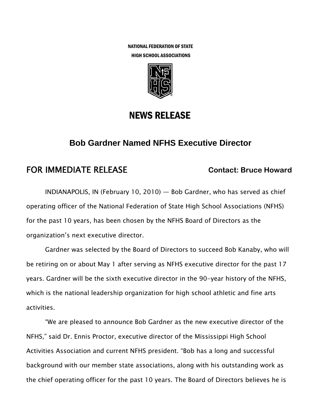NATIONAL FEDERATION OF STATE HIGH SCHOOL ASSOCIATIONS



## NEWS RELEASE

### **Bob Gardner Named NFHS Executive Director**

# **FOR IMMEDIATE RELEASE Contact: Bruce Howard Contact: Bruce Howard**

INDIANAPOLIS, IN (February 10, 2010) — Bob Gardner, who has served as chief operating officer of the National Federation of State High School Associations (NFHS) for the past 10 years, has been chosen by the NFHS Board of Directors as the organization's next executive director.

Gardner was selected by the Board of Directors to succeed Bob Kanaby, who will be retiring on or about May 1 after serving as NFHS executive director for the past 17 years. Gardner will be the sixth executive director in the 90-year history of the NFHS, which is the national leadership organization for high school athletic and fine arts activities.

"We are pleased to announce Bob Gardner as the new executive director of the NFHS," said Dr. Ennis Proctor, executive director of the Mississippi High School Activities Association and current NFHS president. "Bob has a long and successful background with our member state associations, along with his outstanding work as the chief operating officer for the past 10 years. The Board of Directors believes he is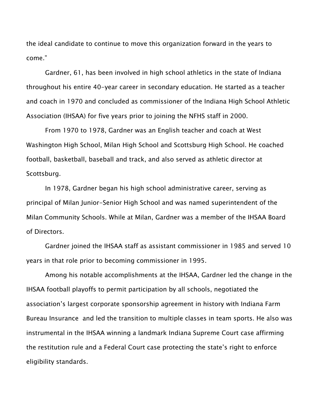the ideal candidate to continue to move this organization forward in the years to come."

Gardner, 61, has been involved in high school athletics in the state of Indiana throughout his entire 40-year career in secondary education. He started as a teacher and coach in 1970 and concluded as commissioner of the Indiana High School Athletic Association (IHSAA) for five years prior to joining the NFHS staff in 2000.

From 1970 to 1978, Gardner was an English teacher and coach at West Washington High School, Milan High School and Scottsburg High School. He coached football, basketball, baseball and track, and also served as athletic director at Scottsburg.

In 1978, Gardner began his high school administrative career, serving as principal of Milan Junior-Senior High School and was named superintendent of the Milan Community Schools. While at Milan, Gardner was a member of the IHSAA Board of Directors.

Gardner joined the IHSAA staff as assistant commissioner in 1985 and served 10 years in that role prior to becoming commissioner in 1995.

Among his notable accomplishments at the IHSAA, Gardner led the change in the IHSAA football playoffs to permit participation by all schools, negotiated the association's largest corporate sponsorship agreement in history with Indiana Farm Bureau Insurance and led the transition to multiple classes in team sports. He also was instrumental in the IHSAA winning a landmark Indiana Supreme Court case affirming the restitution rule and a Federal Court case protecting the state's right to enforce eligibility standards.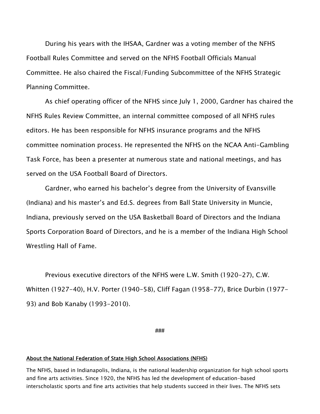During his years with the IHSAA, Gardner was a voting member of the NFHS Football Rules Committee and served on the NFHS Football Officials Manual Committee. He also chaired the Fiscal/Funding Subcommittee of the NFHS Strategic Planning Committee.

As chief operating officer of the NFHS since July 1, 2000, Gardner has chaired the NFHS Rules Review Committee, an internal committee composed of all NFHS rules editors. He has been responsible for NFHS insurance programs and the NFHS committee nomination process. He represented the NFHS on the NCAA Anti-Gambling Task Force, has been a presenter at numerous state and national meetings, and has served on the USA Football Board of Directors.

Gardner, who earned his bachelor's degree from the University of Evansville (Indiana) and his master's and Ed.S. degrees from Ball State University in Muncie, Indiana, previously served on the USA Basketball Board of Directors and the Indiana Sports Corporation Board of Directors, and he is a member of the Indiana High School Wrestling Hall of Fame.

Previous executive directors of the NFHS were L.W. Smith (1920-27), C.W. Whitten (1927-40), H.V. Porter (1940-58), Cliff Fagan (1958-77), Brice Durbin (1977- 93) and Bob Kanaby (1993-2010).

**###** 

### About the National Federation of State High School Associations (NFHS)

The NFHS, based in Indianapolis, Indiana, is the national leadership organization for high school sports and fine arts activities. Since 1920, the NFHS has led the development of education-based interscholastic sports and fine arts activities that help students succeed in their lives. The NFHS sets